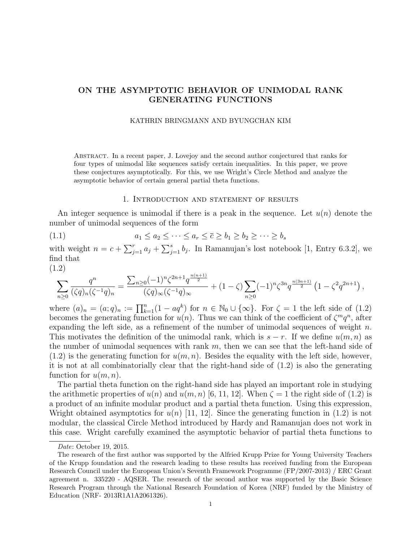# ON THE ASYMPTOTIC BEHAVIOR OF UNIMODAL RANK GENERATING FUNCTIONS

#### KATHRIN BRINGMANN AND BYUNGCHAN KIM

Abstract. In a recent paper, J. Lovejoy and the second author conjectured that ranks for four types of unimodal like sequences satisfy certain inequalities. In this paper, we prove these conjectures asymptotically. For this, we use Wright's Circle Method and analyze the asymptotic behavior of certain general partial theta functions.

### 1. Introduction and statement of results

An integer sequence is unimodal if there is a peak in the sequence. Let  $u(n)$  denote the number of unimodal sequences of the form

$$
(1.1) \qquad \qquad a_1 \le a_2 \le \cdots \le a_r \le \overline{c} \ge b_1 \ge b_2 \ge \cdots \ge b_s
$$

with weight  $n = c + \sum_{j=1}^r a_j + \sum_{j=1}^s b_j$ . In Ramanujan's lost notebook [1, Entry 6.3.2], we find that  $(1.2)$ 

$$
\sum_{n\geq 0} \frac{q^n}{(\zeta q)_n (\zeta^{-1} q)_n} = \frac{\sum_{n\geq 0} (-1)^n \zeta^{2n+1} q^{\frac{n(n+1)}{2}}}{(\zeta q)_{\infty} (\zeta^{-1} q)_{\infty}} + (1-\zeta) \sum_{n\geq 0} (-1)^n \zeta^{3n} q^{\frac{n(3n+1)}{2}} \left(1 - \zeta^2 q^{2n+1}\right),
$$

where  $(a)_n = (a;q)_n := \prod_{k=1}^n (1 - aq^k)$  for  $n \in \mathbb{N}_0 \cup \{\infty\}$ . For  $\zeta = 1$  the left side of  $(1.2)$ becomes the generating function for  $u(n)$ . Thus we can think of the coefficient of  $\zeta^m q^n$ , after expanding the left side, as a refinement of the number of unimodal sequences of weight  $n$ . This motivates the definition of the unimodal rank, which is  $s - r$ . If we define  $u(m, n)$  as the number of unimodal sequences with rank  $m$ , then we can see that the left-hand side of  $(1.2)$  is the generating function for  $u(m, n)$ . Besides the equality with the left side, however, it is not at all combinatorially clear that the right-hand side of (1.2) is also the generating function for  $u(m, n)$ .

The partial theta function on the right-hand side has played an important role in studying the arithmetic properties of  $u(n)$  and  $u(m, n)$  [6, 11, 12]. When  $\zeta = 1$  the right side of (1.2) is a product of an infinite modular product and a partial theta function. Using this expression, Wright obtained asymptotics for  $u(n)$  [11, 12]. Since the generating function in (1.2) is not modular, the classical Circle Method introduced by Hardy and Ramanujan does not work in this case. Wright carefully examined the asymptotic behavior of partial theta functions to

Date: October 19, 2015.

The research of the first author was supported by the Alfried Krupp Prize for Young University Teachers of the Krupp foundation and the research leading to these results has received funding from the European Research Council under the European Union's Seventh Framework Programme (FP/2007-2013) / ERC Grant agreement n. 335220 - AQSER. The research of the second author was supported by the Basic Science Research Program through the National Research Foundation of Korea (NRF) funded by the Ministry of Education (NRF- 2013R1A1A2061326).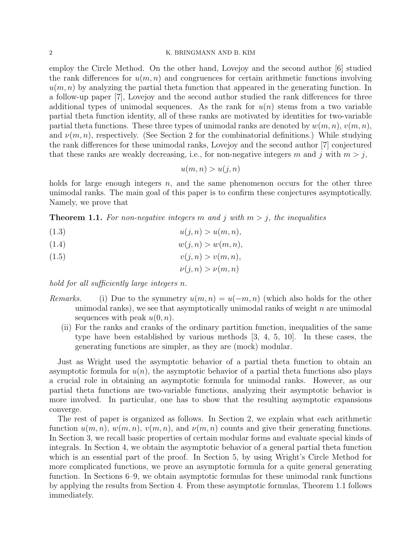#### 2 K. BRINGMANN AND B. KIM

employ the Circle Method. On the other hand, Lovejoy and the second author [6] studied the rank differences for  $u(m, n)$  and congruences for certain arithmetic functions involving  $u(m, n)$  by analyzing the partial theta function that appeared in the generating function. In a follow-up paper [7], Lovejoy and the second author studied the rank differences for three additional types of unimodal sequences. As the rank for  $u(n)$  stems from a two variable partial theta function identity, all of these ranks are motivated by identities for two-variable partial theta functions. These three types of unimodal ranks are denoted by  $w(m, n)$ ,  $v(m, n)$ , and  $\nu(m, n)$ , respectively. (See Section 2 for the combinatorial definitions.) While studying the rank differences for these unimodal ranks, Lovejoy and the second author [7] conjectured that these ranks are weakly decreasing, i.e., for non-negative integers m and j with  $m > j$ ,

$$
u(m, n) > u(j, n)
$$

holds for large enough integers  $n$ , and the same phenomenon occurs for the other three unimodal ranks. The main goal of this paper is to confirm these conjectures asymptotically. Namely, we prove that

**Theorem 1.1.** For non-negative integers m and j with  $m > j$ , the inequalities

- (1.3)  $u(j, n) > u(m, n),$
- (1.4)  $w(j, n) > w(m, n),$
- (1.5)  $v(j, n) > v(m, n),$ 
	- $\nu(i, n) > \nu(m, n)$

hold for all sufficiently large integers n.

- Remarks. (i) Due to the symmetry  $u(m, n) = u(-m, n)$  (which also holds for the other unimodal ranks), we see that asymptotically unimodal ranks of weight  $n$  are unimodal sequences with peak  $u(0, n)$ .
	- (ii) For the ranks and cranks of the ordinary partition function, inequalities of the same type have been established by various methods [3, 4, 5, 10]. In these cases, the generating functions are simpler, as they are (mock) modular.

Just as Wright used the asymptotic behavior of a partial theta function to obtain an asymptotic formula for  $u(n)$ , the asymptotic behavior of a partial theta functions also plays a crucial role in obtaining an asymptotic formula for unimodal ranks. However, as our partial theta functions are two-variable functions, analyzing their asymptotic behavior is more involved. In particular, one has to show that the resulting asymptotic expansions converge.

The rest of paper is organized as follows. In Section 2, we explain what each arithmetic function  $u(m, n)$ ,  $w(m, n)$ ,  $v(m, n)$ , and  $v(m, n)$  counts and give their generating functions. In Section 3, we recall basic properties of certain modular forms and evaluate special kinds of integrals. In Section 4, we obtain the asymptotic behavior of a general partial theta function which is an essential part of the proof. In Section 5, by using Wright's Circle Method for more complicated functions, we prove an asymptotic formula for a quite general generating function. In Sections 6–9, we obtain asymptotic formulas for these unimodal rank functions by applying the results from Section 4. From these asymptotic formulas, Theorem 1.1 follows immediately.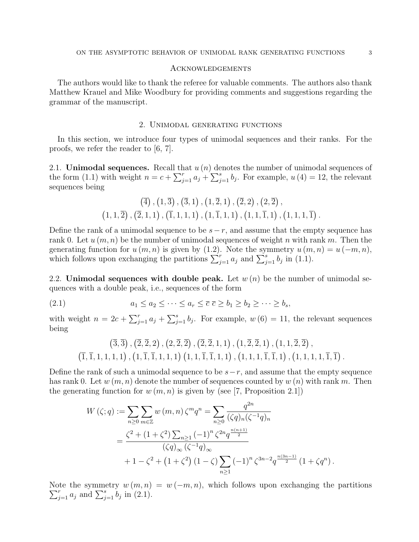#### Acknowledgements

The authors would like to thank the referee for valuable comments. The authors also thank Matthew Krauel and Mike Woodbury for providing comments and suggestions regarding the grammar of the manuscript.

### 2. Unimodal generating functions

In this section, we introduce four types of unimodal sequences and their ranks. For the proofs, we refer the reader to [6, 7].

2.1. **Unimodal sequences.** Recall that  $u(n)$  denotes the number of unimodal sequences of the form (1.1) with weight  $n = c + \sum_{j=1}^{r} a_j + \sum_{j=1}^{s} b_j$ . For example,  $u(4) = 12$ , the relevant sequences being

$$
(\overline{4}), (1, \overline{3}), (\overline{3}, 1), (1, \overline{2}, 1), (\overline{2}, 2), (2, \overline{2}), (1, 1, \overline{2}), (\overline{2}, 1, 1), (\overline{1}, 1, 1, 1), (1, \overline{1}, 1, 1), (1, 1, \overline{1}, 1), (1, 1, 1, \overline{1}).
$$

Define the rank of a unimodal sequence to be  $s-r$ , and assume that the empty sequence has rank 0. Let  $u(m, n)$  be the number of unimodal sequences of weight n with rank m. Then the generating function for  $u(m, n)$  is given by (1.2). Note the symmetry  $u(m, n) = u(-m, n)$ , which follows upon exchanging the partitions  $\sum_{j=1}^{r} a_j$  and  $\sum_{j=1}^{s} b_j$  in (1.1).

2.2. Unimodal sequences with double peak. Let  $w(n)$  be the number of unimodal sequences with a double peak, i.e., sequences of the form

$$
(2.1) \t a_1 \le a_2 \le \cdots \le a_r \le \overline{c} \ge b_1 \ge b_2 \ge \cdots \ge b_s,
$$

with weight  $n = 2c + \sum_{j=1}^{r} a_j + \sum_{j=1}^{s} b_j$ . For example,  $w(6) = 11$ , the relevant sequences being

$$
(\overline{3},\overline{3}), (\overline{2},\overline{2},2), (2,\overline{2},\overline{2}), (\overline{2},\overline{2},1,1), (1,\overline{2},\overline{2},1), (1,1,\overline{2},\overline{2}),(\overline{1},\overline{1},1,1,1,1), (1,\overline{1},\overline{1},1,1,1) (1,1,\overline{1},\overline{1},1,1), (1,1,1,\overline{1},\overline{1},1), (1,1,1,\overline{1},\overline{1}) .
$$

Define the rank of such a unimodal sequence to be  $s-r$ , and assume that the empty sequence has rank 0. Let  $w(m, n)$  denote the number of sequences counted by  $w(n)$  with rank m. Then the generating function for  $w(m, n)$  is given by (see [7, Proposition 2.1])

$$
W(\zeta;q) := \sum_{n\geq 0} \sum_{m\in\mathbb{Z}} w(m,n) \zeta^m q^n = \sum_{n\geq 0} \frac{q^{2n}}{(\zeta q)_n (\zeta^{-1} q)_n}
$$
  
= 
$$
\frac{\zeta^2 + (1+\zeta^2) \sum_{n\geq 1} (-1)^n \zeta^{2n} q^{\frac{n(n+1)}{2}}}{(\zeta q)_{\infty} (\zeta^{-1} q)_{\infty}}
$$
  
+ 
$$
1 - \zeta^2 + (1+\zeta^2) (1-\zeta) \sum_{n\geq 1} (-1)^n \zeta^{3n-2} q^{\frac{n(3n-1)}{2}} (1+\zeta q^n).
$$

Note the symmetry  $w(m, n) = w(-m, n)$ , which follows upon exchanging the partitions  $\sum_{j=1}^r a_j$  and  $\sum_{j=1}^s b_j$  in (2.1).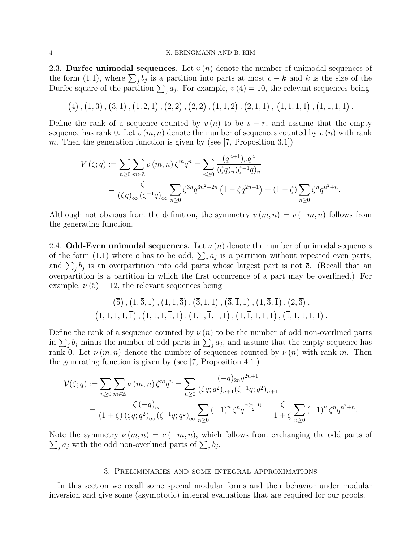#### 4 K. BRINGMANN AND B. KIM

2.3. Durfee unimodal sequences. Let  $v(n)$  denote the number of unimodal sequences of the form (1.1), where  $\sum_j b_j$  is a partition into parts at most  $c - k$  and k is the size of the Durfee square of the partition  $\sum_j a_j$ . For example,  $v(4) = 10$ , the relevant sequences being

$$
(\overline{4}), (1,\overline{3}), (\overline{3},1), (1,\overline{2},1), (\overline{2},2), (2,\overline{2}), (1,1,\overline{2}), (\overline{2},1,1), (\overline{1},1,1,1), (1,1,1,\overline{1}).
$$

Define the rank of a sequence counted by  $v(n)$  to be  $s - r$ , and assume that the empty sequence has rank 0. Let  $v(m, n)$  denote the number of sequences counted by  $v(n)$  with rank m. Then the generation function is given by (see [7, Proposition 3.1])

$$
V(\zeta;q) := \sum_{n\geq 0} \sum_{m\in \mathbb{Z}} v(m,n) \zeta^m q^n = \sum_{n\geq 0} \frac{(q^{n+1})_n q^n}{(\zeta q)_n (\zeta^{-1} q)_n}
$$
  
= 
$$
\frac{\zeta}{(\zeta q)_{\infty} (\zeta^{-1} q)_{\infty}} \sum_{n\geq 0} \zeta^{3n} q^{3n^2+2n} (1 - \zeta q^{2n+1}) + (1 - \zeta) \sum_{n\geq 0} \zeta^n q^{n^2+n}.
$$

Although not obvious from the definition, the symmetry  $v(m, n) = v(-m, n)$  follows from the generating function.

2.4. **Odd-Even unimodal sequences.** Let  $\nu(n)$  denote the number of unimodal sequences of the form (1.1) where c has to be odd,  $\sum_j a_j$  is a partition without repeated even parts, and  $\sum_j b_j$  is an overpartition into odd parts whose largest part is not  $\bar{c}$ . (Recall that an overpartition is a partition in which the first occurrence of a part may be overlined.) For example,  $\nu(5) = 12$ , the relevant sequences being

$$
(\overline{5}), (\overline{1}, \overline{3}, 1), (\overline{1}, 1, \overline{3}), (\overline{3}, 1, 1), (\overline{3}, \overline{1}, 1), (\overline{1}, \overline{3}, \overline{1}), (2, \overline{3}), (1, 1, 1, \overline{1}), (1, 1, 1, \overline{1}, 1), (1, 1, \overline{1}, 1, 1), (\overline{1}, 1, 1, 1, 1), (\overline{1}, 1, 1, 1, 1).
$$

Define the rank of a sequence counted by  $\nu(n)$  to be the number of odd non-overlined parts in  $\sum_j b_j$  minus the number of odd parts in  $\sum_j a_j$ , and assume that the empty sequence has rank 0. Let  $\nu(m, n)$  denote the number of sequences counted by  $\nu(n)$  with rank m. Then the generating function is given by (see [7, Proposition 4.1])

$$
\mathcal{V}(\zeta;q) := \sum_{n\geq 0} \sum_{m\in\mathbb{Z}} \nu(m,n) \zeta^m q^n = \sum_{n\geq 0} \frac{(-q)_{2n} q^{2n+1}}{(\zeta q;q^2)_{n+1} (\zeta^{-1}q;q^2)_{n+1}} \\
= \frac{\zeta(-q)_{\infty}}{(1+\zeta)\left(\zeta q;q^2\right)_{\infty} (\zeta^{-1}q;q^2)_{\infty}} \sum_{n\geq 0} (-1)^n \zeta^n q^{\frac{n(n+1)}{2}} - \frac{\zeta}{1+\zeta} \sum_{n\geq 0} (-1)^n \zeta^n q^{n^2+n}.
$$

 $\sum_j a_j$  with the odd non-overlined parts of  $\sum_j b_j$ . Note the symmetry  $\nu(m,n) = \nu(-m,n)$ , which follows from exchanging the odd parts of

### 3. Preliminaries and some integral approximations

In this section we recall some special modular forms and their behavior under modular inversion and give some (asymptotic) integral evaluations that are required for our proofs.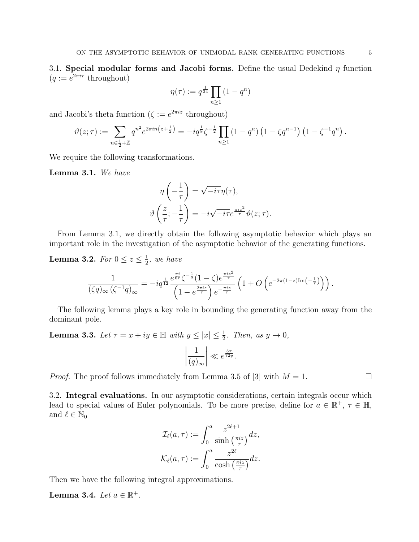3.1. Special modular forms and Jacobi forms. Define the usual Dedekind  $\eta$  function  $(q := e^{2\pi i \tau} \text{ throughout})$ 

$$
\eta(\tau) := q^{\frac{1}{24}} \prod_{n \ge 1} (1 - q^n)
$$

and Jacobi's theta function  $(\zeta := e^{2\pi i z} \text{ throughout})$ 

$$
\vartheta(z;\tau) := \sum_{n \in \frac{1}{2} + \mathbb{Z}} q^{n^2} e^{2\pi i n \left(z + \frac{1}{2}\right)} = -i q^{\frac{1}{8}} \zeta^{-\frac{1}{2}} \prod_{n \geq 1} \left(1 - q^n\right) \left(1 - \zeta q^{n-1}\right) \left(1 - \zeta^{-1} q^n\right).
$$

We require the following transformations.

Lemma 3.1. We have

$$
\eta\left(-\frac{1}{\tau}\right) = \sqrt{-i\tau}\eta(\tau),
$$

$$
\vartheta\left(\frac{z}{\tau}; -\frac{1}{\tau}\right) = -i\sqrt{-i\tau}e^{\frac{\pi i z^2}{\tau}}\vartheta(z;\tau).
$$

From Lemma 3.1, we directly obtain the following asymptotic behavior which plays an important role in the investigation of the asymptotic behavior of the generating functions.

**Lemma 3.2.** For  $0 \leq z \leq \frac{1}{2}$  $\frac{1}{2}$ , we have

$$
\frac{1}{(\zeta q)_{\infty} (\zeta^{-1} q)_{\infty}} = -iq^{\frac{1}{12}} \frac{e^{\frac{\pi i}{6\tau}} \zeta^{-\frac{1}{2}} (1 - \zeta) e^{\frac{\pi i z^2}{\tau}}}{\left(1 - e^{\frac{2\pi i z}{\tau}}\right) e^{-\frac{\pi i z}{\tau}}} \left(1 + O\left(e^{-2\pi(1-z)\text{Im}\left(-\frac{1}{\tau}\right)}\right)\right).
$$

The following lemma plays a key role in bounding the generating function away from the dominant pole.

**Lemma 3.3.** Let  $\tau = x + iy \in \mathbb{H}$  with  $y \leq |x| \leq \frac{1}{2}$ . Then, as  $y \to 0$ ,

$$
\left|\frac{1}{(q)_{\infty}}\right| \ll e^{\frac{5\pi}{72y}}.
$$

*Proof.* The proof follows immediately from Lemma 3.5 of [3] with  $M = 1$ .

3.2. Integral evaluations. In our asymptotic considerations, certain integrals occur which lead to special values of Euler polynomials. To be more precise, define for  $a \in \mathbb{R}^+$ ,  $\tau \in \mathbb{H}$ , and  $\ell \in \mathbb{N}_0$ 

$$
\mathcal{I}_{\ell}(a,\tau) := \int_0^a \frac{z^{2\ell+1}}{\sinh\left(\frac{\pi i z}{\tau}\right)} dz,
$$
  

$$
\mathcal{K}_{\ell}(a,\tau) := \int_0^a \frac{z^{2\ell}}{\cosh\left(\frac{\pi i z}{\tau}\right)} dz.
$$

Then we have the following integral approximations.

Lemma 3.4. Let  $a \in \mathbb{R}^+$ .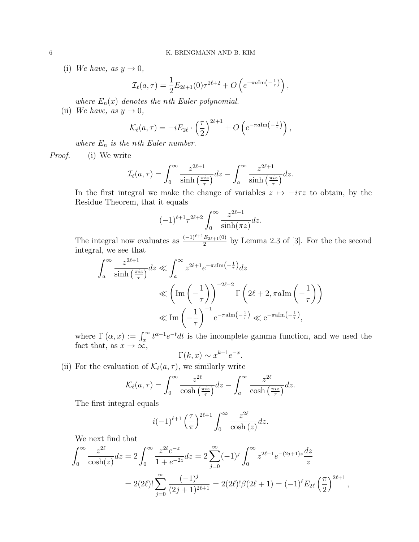(i) We have, as  $y \to 0$ ,

$$
\mathcal{I}_{\ell}(a,\tau) = \frac{1}{2} E_{2\ell+1}(0)\tau^{2\ell+2} + O\left(e^{-\pi a \text{Im}\left(-\frac{1}{\tau}\right)}\right),
$$

where  $E_n(x)$  denotes the nth Euler polynomial.

(ii) We have, as  $y \to 0$ ,

$$
\mathcal{K}_{\ell}(a,\tau) = -iE_{2\ell} \cdot \left(\frac{\tau}{2}\right)^{2\ell+1} + O\left(e^{-\pi a \text{Im}\left(-\frac{1}{\tau}\right)}\right),
$$

where  $E_n$  is the nth Euler number.

Proof. (i) We write

$$
\mathcal{I}_{\ell}(a,\tau) = \int_0^{\infty} \frac{z^{2\ell+1}}{\sinh\left(\frac{\pi i z}{\tau}\right)} dz - \int_a^{\infty} \frac{z^{2\ell+1}}{\sinh\left(\frac{\pi i z}{\tau}\right)} dz.
$$

In the first integral we make the change of variables  $z \mapsto -i\tau z$  to obtain, by the Residue Theorem, that it equals

$$
(-1)^{\ell+1} \tau^{2\ell+2} \int_0^\infty \frac{z^{2\ell+1}}{\sinh(\pi z)} dz.
$$

The integral now evaluates as  $\frac{(-1)^{\ell+1}E_{2\ell+1}(0)}{2}$  by Lemma 2.3 of [3]. For the the second integral, we see that

$$
\int_{a}^{\infty} \frac{z^{2\ell+1}}{\sinh\left(\frac{\pi iz}{\tau}\right)} dz \ll \int_{a}^{\infty} z^{2\ell+1} e^{-\pi z \text{Im}\left(-\frac{1}{\tau}\right)} dz
$$
  

$$
\ll \left(\text{Im}\left(-\frac{1}{\tau}\right)\right)^{-2\ell-2} \Gamma\left(2\ell+2, \pi a \text{Im}\left(-\frac{1}{\tau}\right)\right)
$$
  

$$
\ll \text{Im}\left(-\frac{1}{\tau}\right)^{-1} e^{-\pi a \text{Im}\left(-\frac{1}{\tau}\right)} \ll e^{-\pi a \text{Im}\left(-\frac{1}{\tau}\right)},
$$

where  $\Gamma(\alpha, x) := \int_x^{\infty} t^{\alpha-1} e^{-t} dt$  is the incomplete gamma function, and we used the fact that, as  $x \to \infty$ ,

$$
\Gamma(k, x) \sim x^{k-1} e^{-x}.
$$

(ii) For the evaluation of  $\mathcal{K}_{\ell}(a, \tau)$ , we similarly write

$$
\mathcal{K}_{\ell}(a,\tau) = \int_0^{\infty} \frac{z^{2\ell}}{\cosh\left(\frac{\pi i z}{\tau}\right)} dz - \int_a^{\infty} \frac{z^{2\ell}}{\cosh\left(\frac{\pi i z}{\tau}\right)} dz.
$$

The first integral equals

$$
i(-1)^{\ell+1} \left(\frac{\tau}{\pi}\right)^{2\ell+1} \int_0^\infty \frac{z^{2\ell}}{\cosh(z)} dz.
$$

We next find that

$$
\int_0^\infty \frac{z^{2\ell}}{\cosh(z)} dz = 2 \int_0^\infty \frac{z^{2\ell} e^{-z}}{1 + e^{-2z}} dz = 2 \sum_{j=0}^\infty (-1)^j \int_0^\infty z^{2\ell+1} e^{-(2j+1)z} \frac{dz}{z}
$$
  
=  $2(2\ell)! \sum_{j=0}^\infty \frac{(-1)^j}{(2j+1)^{2\ell+1}} = 2(2\ell)! \beta(2\ell+1) = (-1)^\ell E_{2\ell} \left(\frac{\pi}{2}\right)^{2\ell+1},$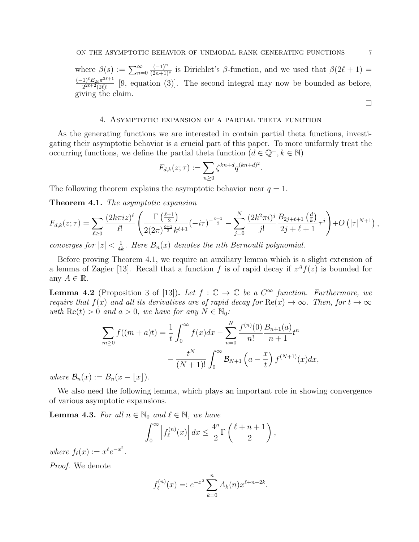where  $\beta(s) := \sum_{n=0}^{\infty}$  $(-1)^n$  $\frac{(-1)^n}{(2n+1)^s}$  is Dirichlet's  $\beta$ -function, and we used that  $\beta(2\ell + 1) =$  $(-1)^{\ell} E_{2\ell} \pi^{2\ell+1}$  $\frac{1)^{k}E_{2\ell}\pi^{2k+1}}{2^{2\ell+2}(2\ell)!}$  [9, equation (3)]. The second integral may now be bounded as before, giving the claim.

### 4. Asymptotic expansion of a partial theta function

As the generating functions we are interested in contain partial theta functions, investigating their asymptotic behavior is a crucial part of this paper. To more uniformly treat the occurring functions, we define the partial theta function  $(d \in \mathbb{Q}^+, k \in \mathbb{N})$ 

$$
F_{d,k}(z;\tau) := \sum_{n\geq 0} \zeta^{kn+d} q^{(kn+d)^2}.
$$

The following theorem explains the asymptotic behavior near  $q = 1$ .

Theorem 4.1. The asymptotic expansion

$$
F_{d,k}(z;\tau) = \sum_{\ell \ge 0} \frac{(2k\pi i z)^{\ell}}{\ell!} \left( \frac{\Gamma\left(\frac{\ell+1}{2}\right)}{2(2\pi)^{\frac{\ell+1}{2}}k^{\ell+1}} (-i\tau)^{-\frac{\ell+1}{2}} - \sum_{j=0}^N \frac{(2k^2\pi i)^j}{j!} \frac{B_{2j+\ell+1}\left(\frac{d}{k}\right)}{2j+\ell+1} \tau^j \right) + O\left(|\tau|^{N+1}\right),
$$

converges for  $|z| < \frac{1}{4l}$  $\frac{1}{4k}$ . Here  $B_n(x)$  denotes the nth Bernoulli polynomial.

Before proving Theorem 4.1, we require an auxiliary lemma which is a slight extension of a lemma of Zagier [13]. Recall that a function f is of rapid decay if  $z<sup>A</sup> f(z)$  is bounded for any  $A \in \mathbb{R}$ .

**Lemma 4.2** (Proposition 3 of [13]). Let  $f : \mathbb{C} \to \mathbb{C}$  be a  $C^{\infty}$  function. Furthermore, we require that  $f(x)$  and all its derivatives are of rapid decay for  $\text{Re}(x) \to \infty$ . Then, for  $t \to \infty$ with  $\text{Re}(t) > 0$  and  $a > 0$ , we have for any  $N \in \mathbb{N}_0$ :

$$
\sum_{m\geq 0} f((m+a)t) = \frac{1}{t} \int_0^\infty f(x)dx - \sum_{n=0}^N \frac{f^{(n)}(0)}{n!} \frac{B_{n+1}(a)}{n+1} t^n
$$

$$
- \frac{t^N}{(N+1)!} \int_0^\infty \mathcal{B}_{N+1}\left(a - \frac{x}{t}\right) f^{(N+1)}(x) dx,
$$

where  $\mathcal{B}_n(x) := B_n(x - |x|)$ .

We also need the following lemma, which plays an important role in showing convergence of various asymptotic expansions.

**Lemma 4.3.** For all  $n \in \mathbb{N}_0$  and  $\ell \in \mathbb{N}$ , we have

$$
\int_0^\infty \left| f_{\ell}^{(n)}(x) \right| dx \le \frac{4^n}{2} \Gamma\left(\frac{\ell+n+1}{2}\right),\,
$$

where  $f_{\ell}(x) := x^{\ell} e^{-x^2}$ .

Proof. We denote

$$
f_{\ell}^{(n)}(x) =: e^{-x^2} \sum_{k=0}^{n} A_k(n) x^{\ell+n-2k}.
$$

 $\Box$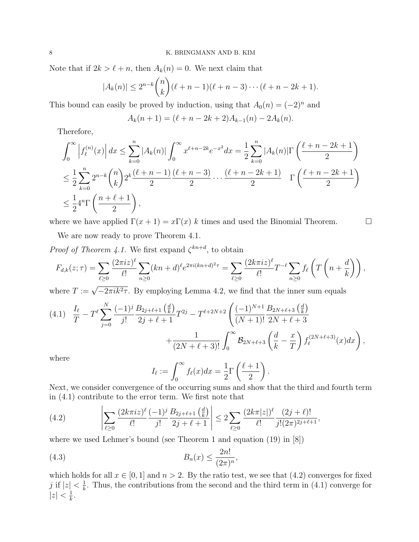Note that if  $2k > \ell + n$ , then  $A_k(n) = 0$ . We next claim that

$$
|A_k(n)| \le 2^{n-k} \binom{n}{k} (\ell+n-1)(\ell+n-3) \cdots (\ell+n-2k+1).
$$

This bound can easily be proved by induction, using that  $A_0(n) = (-2)^n$  and

$$
A_k(n + 1) = (\ell + n - 2k + 2)A_{k-1}(n) - 2A_k(n).
$$

Therefore,

$$
\int_0^\infty \left| f_{\ell}^{(n)}(x) \right| dx \le \sum_{k=0}^n |A_k(n)| \int_0^\infty x^{\ell+n-2k} e^{-x^2} dx = \frac{1}{2} \sum_{k=0}^n |A_k(n)| \Gamma\left(\frac{\ell+n-2k+1}{2}\right)
$$
  
\n
$$
\le \frac{1}{2} \sum_{k=0}^n 2^{n-k} {n \choose k} 2^k \frac{(\ell+n-1)}{2} \frac{(\ell+n-3)}{2} \cdots \frac{(\ell+n-2k+1)}{2} \Gamma\left(\frac{\ell+n-2k+1}{2}\right)
$$
  
\n
$$
\le \frac{1}{2} 4^n \Gamma\left(\frac{n+\ell+1}{2}\right),
$$

where we have applied  $\Gamma(x+1) = x\Gamma(x) k$  times and used the Binomial Theorem.

We are now ready to prove Theorem 4.1.

*Proof of Theorem 4.1.* We first expand  $\zeta^{kn+d}$ , to obtain

$$
F_{d,k}(z;\tau) = \sum_{\ell \ge 0} \frac{(2\pi i z)^{\ell}}{\ell!} \sum_{n \ge 0} (kn+d)^{\ell} e^{2\pi i (kn+d)^2 \tau} = \sum_{\ell \ge 0} \frac{(2k\pi i z)^{\ell}}{\ell!} T^{-\ell} \sum_{n \ge 0} f_{\ell} \left( T\left(n+\frac{d}{k}\right) \right),
$$

where  $T := \sqrt{-2\pi i k^2 \tau}$ . By employing Lemma 4.2, we find that the inner sum equals

$$
(4.1) \frac{I_{\ell}}{T} - T^{\ell} \sum_{j=0}^{N} \frac{(-1)^{j}}{j!} \frac{B_{2j+\ell+1}(\frac{d}{k})}{2j+\ell+1} T^{2j} - T^{\ell+2N+2} \left( \frac{(-1)^{N+1}}{(N+1)!} \frac{B_{2N+\ell+3}(\frac{d}{k})}{2N+\ell+3} + \frac{1}{(2N+\ell+3)!} \int_{0}^{\infty} \mathcal{B}_{2N+\ell+3}(\frac{d}{k} - \frac{x}{T}) f_{\ell}^{(2N+\ell+3)}(x) dx \right),
$$
  
where

where

$$
I_{\ell} := \int_0^{\infty} f_{\ell}(x) dx = \frac{1}{2} \Gamma\left(\frac{\ell+1}{2}\right).
$$

Next, we consider convergence of the occurring sums and show that the third and fourth term in (4.1) contribute to the error term. We first note that

(4.2) 
$$
\left| \sum_{\ell \geq 0} \frac{(2k\pi iz)^{\ell} (-1)^j B_{2j+\ell+1} \left(\frac{d}{k}\right)}{j!} \right| \leq 2 \sum_{\ell \geq 0} \frac{(2k\pi |z|)^{\ell} (2j+\ell)!}{\ell!} \frac{(2j+\ell)!}{j!(2\pi)^{2j+\ell+1}},
$$

where we used Lehmer's bound (see Theorem 1 and equation (19) in [8])

$$
(4.3) \t\t Bn(x) \le \frac{2n!}{(2\pi)^n},
$$

which holds for all  $x \in [0, 1]$  and  $n > 2$ . By the ratio test, we see that  $(4.2)$  converges for fixed j if  $|z| < \frac{1}{k}$  $\frac{1}{k}$ . Thus, the contributions from the second and the third term in (4.1) converge for  $|z| < \frac{1}{k}$  $\frac{1}{k}$ .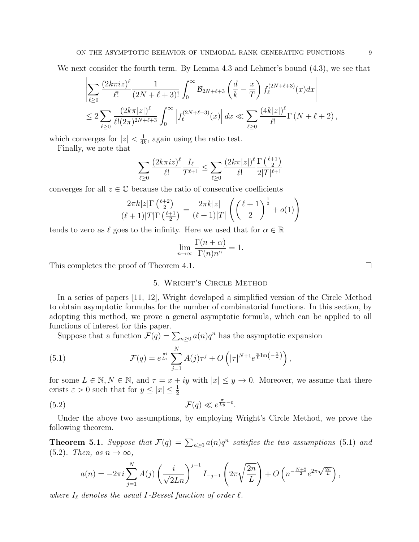We next consider the fourth term. By Lemma 4.3 and Lehmer's bound (4.3), we see that

$$
\left| \sum_{\ell \geq 0} \frac{(2k\pi iz)^{\ell}}{\ell!} \frac{1}{(2N+\ell+3)!} \int_0^{\infty} \mathcal{B}_{2N+\ell+3} \left( \frac{d}{k} - \frac{x}{T} \right) f_{\ell}^{(2N+\ell+3)}(x) dx \right|
$$
  

$$
\leq 2 \sum_{\ell \geq 0} \frac{(2k\pi |z|)^{\ell}}{\ell! (2\pi)^{2N+\ell+3}} \int_0^{\infty} \left| f_{\ell}^{(2N+\ell+3)}(x) \right| dx \ll \sum_{\ell \geq 0} \frac{(4k|z|)^{\ell}}{\ell!} \Gamma(N+\ell+2),
$$

which converges for  $|z| < \frac{1}{4l}$  $\frac{1}{4k}$ , again using the ratio test.

Finally, we note that

$$
\sum_{\ell \ge 0} \frac{(2k\pi i z)^{\ell}}{\ell!} \frac{I_{\ell}}{T^{\ell+1}} \le \sum_{\ell \ge 0} \frac{(2k\pi |z|)^{\ell}}{\ell!} \frac{\Gamma\left(\frac{\ell+1}{2}\right)}{2|T|^{\ell+1}}
$$

converges for all  $z \in \mathbb{C}$  because the ratio of consecutive coefficients

$$
\frac{2\pi k|z|\Gamma\left(\frac{\ell+2}{2}\right)}{(\ell+1)|T|\Gamma\left(\frac{\ell+1}{2}\right)} = \frac{2\pi k|z|}{(\ell+1)|T|} \left( \left(\frac{\ell+1}{2}\right)^{\frac{1}{2}} + o(1) \right)
$$

tends to zero as  $\ell$  goes to the infinity. Here we used that for  $\alpha \in \mathbb{R}$ 

$$
\lim_{n \to \infty} \frac{\Gamma(n + \alpha)}{\Gamma(n)n^{\alpha}} = 1.
$$

This completes the proof of Theorem 4.1.

# 5. Wright's Circle Method

In a series of papers [11, 12], Wright developed a simplified version of the Circle Method to obtain asymptotic formulas for the number of combinatorial functions. In this section, by adopting this method, we prove a general asymptotic formula, which can be applied to all functions of interest for this paper.

Suppose that a function  $\mathcal{F}(q) = \sum_{n\geq 0} a(n)q^n$  has the asymptotic expansion

(5.1) 
$$
\mathcal{F}(q) = e^{\frac{\pi i}{L\tau}} \sum_{j=1}^{N} A(j)\tau^{j} + O\left(|\tau|^{N+1} e^{\frac{\pi}{L}\text{Im}\left(-\frac{1}{\tau}\right)}\right),
$$

for some  $L \in \mathbb{N}, N \in \mathbb{N}$ , and  $\tau = x + iy$  with  $|x| \leq y \to 0$ . Moreover, we assume that there exists  $\varepsilon > 0$  such that for  $y \leq |x| \leq \frac{1}{2}$ 

(5.2) 
$$
\mathcal{F}(q) \ll e^{\frac{\pi}{Ly} - \varepsilon}.
$$

Under the above two assumptions, by employing Wright's Circle Method, we prove the following theorem.

**Theorem 5.1.** Suppose that  $\mathcal{F}(q) = \sum_{n\geq 0} a(n)q^n$  satisfies the two assumptions (5.1) and  $(5.2)$ . Then, as  $n \to \infty$ ,

$$
a(n) = -2\pi i \sum_{j=1}^{N} A(j) \left(\frac{i}{\sqrt{2Ln}}\right)^{j+1} I_{-j-1} \left(2\pi \sqrt{\frac{2n}{L}}\right) + O\left(n^{-\frac{N+2}{2}} e^{2\pi \sqrt{\frac{2n}{L}}}\right),
$$

where  $I_{\ell}$  denotes the usual I-Bessel function of order  $\ell$ .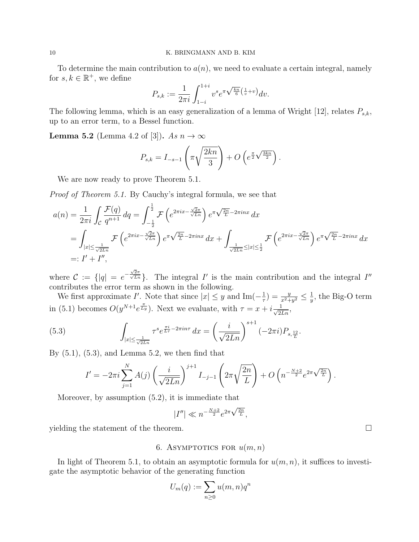To determine the main contribution to  $a(n)$ , we need to evaluate a certain integral, namely for  $s, k \in \mathbb{R}^+$ , we define

$$
P_{s,k}:=\frac{1}{2\pi i}\int_{1-i}^{1+i}v^se^{\pi\sqrt{\frac{kn}{6}}\left(\frac{1}{v}+v\right)}dv.
$$

The following lemma, which is an easy generalization of a lemma of Wright [12], relates  $P_{s,k}$ , up to an error term, to a Bessel function.

**Lemma 5.2** (Lemma 4.2 of [3]). As  $n \to \infty$ 

$$
P_{s,k} = I_{-s-1}\left(\pi\sqrt{\frac{2kn}{3}}\right) + O\left(e^{\frac{\pi}{2}\sqrt{\frac{3kn}{2}}}\right).
$$

We are now ready to prove Theorem 5.1.

Proof of Theorem 5.1. By Cauchy's integral formula, we see that

$$
a(n) = \frac{1}{2\pi i} \int_{\mathcal{C}} \frac{\mathcal{F}(q)}{q^{n+1}} dq = \int_{-\frac{1}{2}}^{\frac{1}{2}} \mathcal{F}\left(e^{2\pi ix - \frac{\sqrt{2}\pi}{\sqrt{Ln}}}\right) e^{\pi \sqrt{\frac{2n}{L}} - 2\pi i n x} dx
$$
  
\n
$$
= \int_{|x| \le \frac{1}{\sqrt{2Ln}}} \mathcal{F}\left(e^{2\pi ix - \frac{\sqrt{2}\pi}{\sqrt{Ln}}}\right) e^{\pi \sqrt{\frac{2n}{L}} - 2\pi i n x} dx + \int_{\frac{1}{\sqrt{2Ln}} \le |x| \le \frac{1}{2}} \mathcal{F}\left(e^{2\pi ix - \frac{\sqrt{2}\pi}{\sqrt{Ln}}}\right) e^{\pi \sqrt{\frac{2n}{L}} - 2\pi i n x} dx
$$
  
\n
$$
=: I' + I'',
$$

where  $\mathcal{C} := \{ |q| = e^{-\frac{\sqrt{2}\pi}{\sqrt{Ln}}} \}$ . The integral I' is the main contribution and the integral I'' contributes the error term as shown in the following.

We first approximate I'. Note that since  $|x| \leq y$  and Im $\left(-\frac{1}{\tau}\right)$  $(\frac{1}{\tau}) = \frac{y}{x^2+y^2} \leq \frac{1}{y}$  $\frac{1}{y}$ , the Big-O term in (5.1) becomes  $O(y^{N+1}e^{\frac{\pi}{Ly}})$ . Next we evaluate, with  $\tau = x + i \frac{1}{\sqrt{2Ln}}$ ,

(5.3) 
$$
\int_{|x| \le \frac{1}{\sqrt{2Ln}}} \tau^s e^{\frac{\pi i}{L\tau} - 2\pi in\tau} dx = \left(\frac{i}{\sqrt{2Ln}}\right)^{s+1} (-2\pi i) P_{s, \frac{12}{L}}.
$$

By  $(5.1)$ ,  $(5.3)$ , and Lemma 5.2, we then find that

$$
I' = -2\pi i \sum_{j=1}^{N} A(j) \left(\frac{i}{\sqrt{2Ln}}\right)^{j+1} I_{-j-1} \left(2\pi \sqrt{\frac{2n}{L}}\right) + O\left(n^{-\frac{N+2}{2}} e^{2\pi \sqrt{\frac{2n}{L}}}\right).
$$

Moreover, by assumption (5.2), it is immediate that

$$
|I''| \ll n^{-\frac{N+2}{2}} e^{2\pi \sqrt{\frac{2n}{L}}},
$$

yielding the statement of the theorem.  $\Box$ 

6. ASYMPTOTICS FOR  $u(m, n)$ 

In light of Theorem 5.1, to obtain an asymptotic formula for  $u(m, n)$ , it suffices to investigate the asymptotic behavior of the generating function

$$
U_m(q) := \sum_{n\geq 0} u(m,n)q^n
$$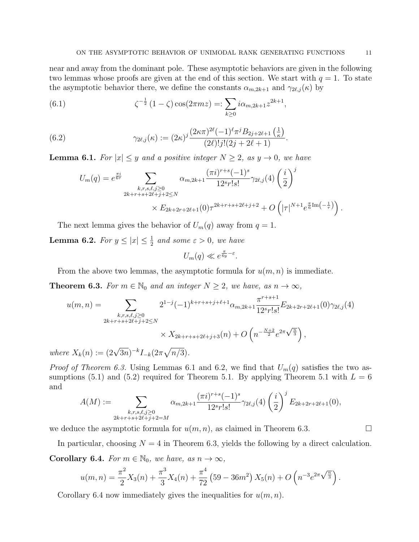near and away from the dominant pole. These asymptotic behaviors are given in the following two lemmas whose proofs are given at the end of this section. We start with  $q = 1$ . To state the asymptotic behavior there, we define the constants  $\alpha_{m,2k+1}$  and  $\gamma_{2\ell,j}(\kappa)$  by

(6.1) 
$$
\zeta^{-\frac{1}{2}} (1 - \zeta) \cos(2\pi mz) =: \sum_{k \ge 0} i \alpha_{m,2k+1} z^{2k+1},
$$

(6.2) 
$$
\gamma_{2\ell,j}(\kappa) := (2\kappa)^j \frac{(2\kappa\pi)^{2\ell}(-1)^{\ell}\pi^j B_{2j+2\ell+1}\left(\frac{1}{\kappa}\right)}{(2\ell)!j!(2j+2\ell+1)}.
$$

**Lemma 6.1.** For  $|x| \leq y$  and a positive integer  $N \geq 2$ , as  $y \to 0$ , we have

$$
U_m(q) = e^{\frac{\pi i}{6\tau}} \sum_{\substack{k,r,s,\ell,j\geq 0\\2k+r+s+2\ell+j+2\leq N}} \alpha_{m,2k+1} \frac{(\pi i)^{r+s}(-1)^s}{12^sr!s!} \gamma_{2\ell,j}(4) \left(\frac{i}{2}\right)^j
$$
  
 
$$
\times E_{2k+2r+2\ell+1}(0) \tau^{2k+r+s+2\ell+j+2} + O\left(|\tau|^{N+1} e^{\frac{\pi}{6}\text{Im}\left(-\frac{1}{\tau}\right)}\right).
$$

The next lemma gives the behavior of  $U_m(q)$  away from  $q = 1$ .

**Lemma 6.2.** For  $y \leq |x| \leq \frac{1}{2}$  and some  $\varepsilon > 0$ , we have

$$
U_m(q) \ll e^{\frac{\pi}{6y} - \varepsilon}.
$$

From the above two lemmas, the asymptotic formula for  $u(m, n)$  is immediate.

**Theorem 6.3.** For  $m \in \mathbb{N}_0$  and an integer  $N \geq 2$ , we have, as  $n \to \infty$ ,

$$
u(m,n) = \sum_{\substack{k,r,s,\ell,j\geq 0\\2k+r+s+2\ell+j+2\leq N}} 2^{1-j}(-1)^{k+r+s+j+\ell+1} \alpha_{m,2k+1} \frac{\pi^{r+s+1}}{12^{s}r!s!} E_{2k+2r+2\ell+1}(0)\gamma_{2\ell,j}(4)
$$
  
 
$$
\times X_{2k+r+s+2\ell+j+3}(n) + O\left(n^{-\frac{N+2}{2}}e^{2\pi\sqrt{\frac{n}{3}}}\right),
$$

where  $X_k(n) := (2\sqrt{3n})^{-k} I_{-k}(2\pi\sqrt{n/3}).$ 

*Proof of Theorem 6.3.* Using Lemmas 6.1 and 6.2, we find that  $U_m(q)$  satisfies the two assumptions (5.1) and (5.2) required for Theorem 5.1. By applying Theorem 5.1 with  $L = 6$ and

$$
A(M) := \sum_{\substack{k,r,s,\ell,j\geq 0\\2k+r+s+2\ell+j+2=M}} \alpha_{m,2k+1} \frac{(\pi i)^{r+s}(-1)^s}{12^sr!s!} \gamma_{2\ell,j}(4) \left(\frac{i}{2}\right)^j E_{2k+2r+2\ell+1}(0),
$$

we deduce the asymptotic formula for  $u(m, n)$ , as claimed in Theorem 6.3.

In particular, choosing  $N = 4$  in Theorem 6.3, yields the following by a direct calculation.

**Corollary 6.4.** For  $m \in \mathbb{N}_0$ , we have, as  $n \to \infty$ ,

$$
u(m,n) = \frac{\pi^2}{2}X_3(n) + \frac{\pi^3}{3}X_4(n) + \frac{\pi^4}{72} (59 - 36m^2) X_5(n) + O\left(n^{-3}e^{2\pi\sqrt{\frac{n}{3}}}\right)
$$

Corollary 6.4 now immediately gives the inequalities for  $u(m, n)$ .

.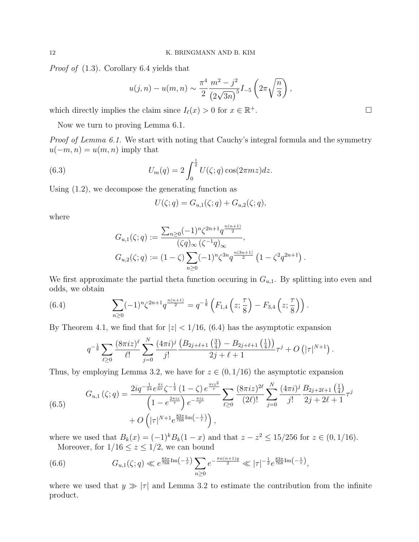Proof of (1.3). Corollary 6.4 yields that

$$
u(j,n) - u(m,n) \sim \frac{\pi^4}{2} \frac{m^2 - j^2}{(2\sqrt{3n})^5} I_{-5} \left(2\pi \sqrt{\frac{n}{3}}\right),
$$

which directly implies the claim since  $I_{\ell}(x) > 0$  for  $x \in \mathbb{R}^+$ .

Now we turn to proving Lemma 6.1.

Proof of Lemma 6.1. We start with noting that Cauchy's integral formula and the symmetry  $u(-m, n) = u(m, n)$  imply that

(6.3) 
$$
U_m(q) = 2 \int_0^{\frac{1}{2}} U(\zeta; q) \cos(2\pi m z) dz.
$$

Using (1.2), we decompose the generating function as

$$
U(\zeta;q) = G_{u,1}(\zeta;q) + G_{u,2}(\zeta;q),
$$

where

$$
G_{u,1}(\zeta;q) := \frac{\sum_{n\geq 0} (-1)^n \zeta^{2n+1} q^{\frac{n(n+1)}{2}}}{(\zeta q)_{\infty} (\zeta^{-1}q)_{\infty}},
$$
  

$$
G_{u,2}(\zeta;q) := (1-\zeta) \sum_{n\geq 0} (-1)^n \zeta^{3n} q^{\frac{n(3n+1)}{2}} (1-\zeta^2 q^{2n+1}).
$$

We first approximate the partial theta function occuring in  $G_{u,1}$ . By splitting into even and odds, we obtain

(6.4) 
$$
\sum_{n\geq 0} (-1)^n \zeta^{2n+1} q^{\frac{n(n+1)}{2}} = q^{-\frac{1}{8}} \left( F_{1,4} \left( z; \frac{\tau}{8} \right) - F_{3,4} \left( z; \frac{\tau}{8} \right) \right).
$$

By Theorem 4.1, we find that for  $|z|$  < 1/16, (6.4) has the asymptotic expansion

$$
q^{-\frac{1}{8}}\sum_{\ell\geq 0}\frac{(8\pi iz)^{\ell}}{\ell!}\sum_{j=0}^N\frac{(4\pi i)^j}{j!}\frac{(B_{2j+\ell+1}\left(\frac{3}{4}\right)-B_{2j+\ell+1}\left(\frac{1}{4}\right))}{2j+\ell+1}\tau^j+O\left(|\tau|^{N+1}\right).
$$

Thus, by employing Lemma 3.2, we have for  $z \in (0, 1/16)$  the asymptotic expansion

(6.5) 
$$
G_{u,1}(\zeta;q) = \frac{2iq^{-\frac{1}{24}}e^{\frac{\pi i}{6\tau}}\zeta^{-\frac{1}{2}}(1-\zeta)e^{\frac{\pi i z^{2}}{\tau}}}{\left(1-e^{\frac{2\pi i z}{\tau}}\right)e^{-\frac{\pi i z}{\tau}}} \sum_{\ell\geq 0} \frac{(8\pi i z)^{2\ell}}{(2\ell)!} \sum_{j=0}^{N} \frac{(4\pi i)^{j}}{j!} \frac{B_{2j+2\ell+1}\left(\frac{1}{4}\right)}{2j+2\ell+1} \tau^{j} + O\left(|\tau|^{N+1}e^{\frac{83\pi}{768}\text{Im}\left(-\frac{1}{\tau}\right)}\right),
$$

where we used that  $B_k(x) = (-1)^k B_k(1-x)$  and that  $z - z^2 \le 15/256$  for  $z \in (0, 1/16)$ . Moreover, for  $1/16 \le z \le 1/2$ , we can bound

(6.6) 
$$
G_{u,1}(\zeta;q) \ll e^{\frac{83\pi}{768}\text{Im}\left(-\frac{1}{\tau}\right)} \sum_{n\geq 0} e^{-\frac{\pi n(n+1)y}{2}} \ll |\tau|^{-\frac{1}{2}} e^{\frac{83\pi}{768}\text{Im}\left(-\frac{1}{\tau}\right)},
$$

where we used that  $y \gg |\tau|$  and Lemma 3.2 to estimate the contribution from the infinite product.

**+.** □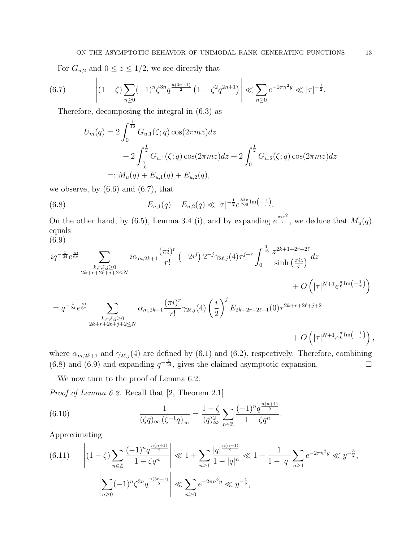For  $G_{u,2}$  and  $0 \le z \le 1/2$ , we see directly that

$$
(6.7) \qquad \left| (1-\zeta) \sum_{n\geq 0} (-1)^n \zeta^{3n} q^{\frac{n(3n+1)}{2}} \left( 1 - \zeta^2 q^{2n+1} \right) \right| \ll \sum_{n\geq 0} e^{-2\pi n^2 y} \ll |\tau|^{-\frac{1}{2}}.
$$

Therefore, decomposing the integral in (6.3) as

$$
U_m(q) = 2 \int_0^{\frac{1}{16}} G_{u,1}(\zeta;q) \cos(2\pi mz) dz
$$
  
+  $2 \int_{\frac{1}{16}}^{\frac{1}{2}} G_{u,1}(\zeta;q) \cos(2\pi mz) dz + 2 \int_0^{\frac{1}{2}} G_{u,2}(\zeta;q) \cos(2\pi mz) dz$   
=:  $M_u(q) + E_{u,1}(q) + E_{u,2}(q)$ ,

we observe, by  $(6.6)$  and  $(6.7)$ , that

(6.8) 
$$
E_{u,1}(q) + E_{u,2}(q) \ll |\tau|^{-\frac{1}{2}} e^{\frac{83\pi}{768}\text{Im}\left(-\frac{1}{\tau}\right)}.
$$

On the other hand, by (6.5), Lemma 3.4 (i), and by expanding  $e^{\frac{\pi i z^2}{\tau}}$ , we deduce that  $M_u(q)$ equals (6.9)

$$
iq^{-\frac{1}{24}}e^{\frac{\pi i}{6\tau}}\sum_{\substack{k,r,\ell,j\geq 0\\2k+r+2\ell+j+2\leq N}}i\alpha_{m,2k+1}\frac{(\pi i)^r}{r!}(-2i^j) 2^{-j}\gamma_{2\ell,j}(4)\tau^{j-r}\int_0^{\frac{1}{16}}\frac{z^{2k+1+2r+2\ell}}{\sinh\left(\frac{\pi iz}{\tau}\right)}dz
$$
  
\n
$$
=q^{-\frac{1}{24}}e^{\frac{\pi i}{6\tau}}\sum_{\substack{k,r,\ell,j\geq 0\\2k+r+2\ell+j+2\leq N}}\alpha_{m,2k+1}\frac{(\pi i)^r}{r!}\gamma_{2\ell,j}(4)\left(\frac{i}{2}\right)^jE_{2k+2r+2\ell+1}(0)\tau^{2k+r+2\ell+j+2} +O\left(|\tau|^{N+1}e^{\frac{\pi}{6}\text{Im}\left(-\frac{1}{\tau}\right)}\right),
$$

where  $\alpha_{m,2k+1}$  and  $\gamma_{2\ell,j}$  (4) are defined by (6.1) and (6.2), respectively. Therefore, combining (6.8) and (6.9) and expanding  $q^{-\frac{1}{24}}$ , gives the claimed asymptotic expansion.

We now turn to the proof of Lemma 6.2.

Proof of Lemma 6.2. Recall that [2, Theorem 2.1]

(6.10) 
$$
\frac{1}{(\zeta q)_{\infty} (\zeta^{-1} q)_{\infty}} = \frac{1 - \zeta}{(q)_{\infty}^2} \sum_{n \in \mathbb{Z}} \frac{(-1)^n q^{\frac{n(n+1)}{2}}}{1 - \zeta q^n}.
$$

Approximating

$$
(6.11) \qquad \left| (1 - \zeta) \sum_{n \in \mathbb{Z}} \frac{(-1)^n q^{\frac{n(n+1)}{2}}}{1 - \zeta q^n} \right| \ll 1 + \sum_{n \ge 1} \frac{|q|^{\frac{n(n+1)}{2}}}{1 - |q|^n} \ll 1 + \frac{1}{1 - |q|} \sum_{n \ge 1} e^{-2\pi n^2 y} \ll y^{-\frac{3}{2}},
$$
\n
$$
\left| \sum_{n \ge 0} (-1)^n \zeta^{3n} q^{\frac{n(3n+1)}{2}} \right| \ll \sum_{n \ge 0} e^{-2\pi n^2 y} \ll y^{-\frac{1}{2}},
$$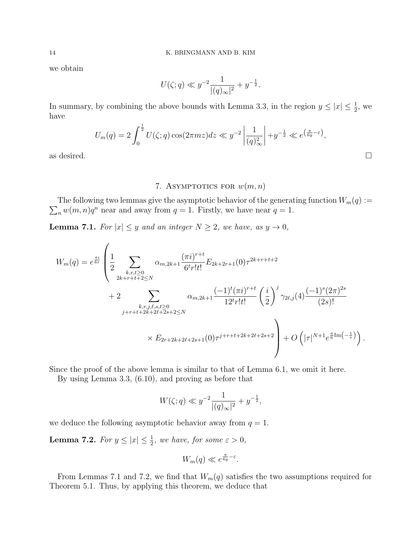we obtain

$$
U(\zeta;q) \ll y^{-2} \frac{1}{|(q)_{\infty}|^2} + y^{-\frac{1}{2}}.
$$

In summary, by combining the above bounds with Lemma 3.3, in the region  $y \leq |x| \leq \frac{1}{2}$ , we have

$$
U_m(q) = 2 \int_0^{\frac{1}{2}} U(\zeta; q) \cos(2\pi mz) dz \ll y^{-2} \left| \frac{1}{(q)_{\infty}^2} \right| + y^{-\frac{1}{2}} \ll e^{\left(\frac{\pi}{6y} - \varepsilon\right)},
$$
 as desired.

# 7. ASYMPTOTICS FOR  $w(m, n)$

 $\sum_n w(m, n)q^n$  near and away from  $q = 1$ . Firstly, we have near  $q = 1$ . The following two lemmas give the asymptotic behavior of the generating function  $W_m(q) :=$ 

**Lemma 7.1.** For  $|x| \leq y$  and an integer  $N \geq 2$ , we have, as  $y \to 0$ ,

$$
W_{m}(q) = e^{\frac{\pi i}{6\tau}} \left( \frac{1}{2} \sum_{\substack{k,r,t \geq 0 \\ 2k+r+t+2 \leq N}} \alpha_{m,2k+1} \frac{(\pi i)^{r+t}}{6^t r! t!} E_{2k+2r+1}(0) \tau^{2k+r+t+2} + 2 \right) + 2 \sum_{\substack{k,r,j,\ell,s,t \geq 0 \\ j+r+t+2k+2\ell+2s+2 \leq N}} \alpha_{m,2k+1} \frac{(-1)^t (\pi i)^{r+t}}{12^t r! t!} \left( \frac{i}{2} \right)^j \gamma_{2\ell,j}(4) \frac{(-1)^s (2\pi)^{2s}}{(2s)!} + 2 \sum_{\substack{k,r,j,\ell,s,t \geq 0 \\ \times E_{2r+2k+2\ell+2s+1}(0)}} \gamma_{2\ell+1} E_{2k+2\ell+2s+2} + O\left( |\tau|^{N+1} e^{\frac{\pi}{6} \text{Im}\left(-\frac{1}{\tau}\right)} \right).
$$

Since the proof of the above lemma is similar to that of Lemma 6.1, we omit it here.

By using Lemma 3.3, (6.10), and proving as before that

$$
W(\zeta;q) \ll y^{-2} \frac{1}{|(q)_{\infty}|^2} + y^{-\frac{1}{2}},
$$

we deduce the following asymptotic behavior away from  $q = 1$ .

**Lemma 7.2.** For  $y \leq |x| \leq \frac{1}{2}$ , we have, for some  $\varepsilon > 0$ ,

$$
W_m(q) \ll e^{\frac{\pi}{6y} - \varepsilon}.
$$

From Lemmas 7.1 and 7.2, we find that  $W_m(q)$  satisfies the two assumptions required for Theorem 5.1. Thus, by applying this theorem, we deduce that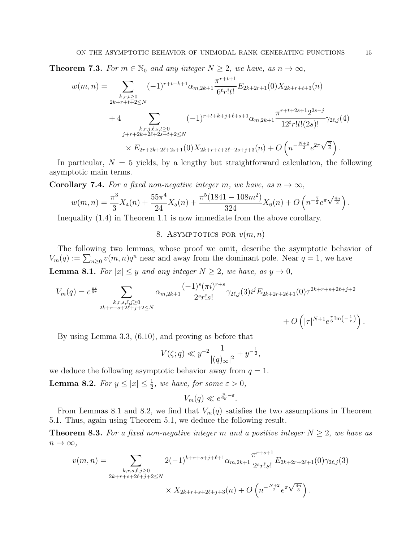**Theorem 7.3.** For  $m \in \mathbb{N}_0$  and any integer  $N \geq 2$ , we have, as  $n \to \infty$ ,

$$
w(m,n) = \sum_{\substack{k,r,t \ge 0 \\ 2k+r+t+2 \le N}} (-1)^{r+t+k+1} \alpha_{m,2k+1} \frac{\pi^{r+t+1}}{6^t r! t!} E_{2k+2r+1}(0) X_{2k+r+t+3}(n)
$$
  
+4 
$$
\sum_{\substack{k,r,j,\ell,s,t \ge 0 \\ j+r+2k+2\ell+2s+t+2 \le N}} (-1)^{r+t+k+j+\ell+s+1} \alpha_{m,2k+1} \frac{\pi^{r+t+2s+1} 2^{2s-j}}{12^t r! t! (2s)!} \gamma_{2\ell,j}(4)
$$
  

$$
\times E_{2r+2k+2\ell+2s+1}(0) X_{2k+r+t+2\ell+2s+j+3}(n) + O\left(n^{-\frac{N+2}{2}} e^{2\pi \sqrt{\frac{n}{3}}}\right).
$$

In particular,  $N = 5$  yields, by a lengthy but straightforward calculation, the following asymptotic main terms.

**Corollary 7.4.** For a fixed non-negative integer m, we have, as  $n \to \infty$ ,

$$
w(m,n) = \frac{\pi^3}{3}X_4(n) + \frac{55\pi^4}{24}X_5(n) + \frac{\pi^5(1841 - 108m^2)}{324}X_6(n) + O\left(n^{-\frac{7}{2}}e^{\pi\sqrt{\frac{4n}{3}}}\right).
$$

Inequality (1.4) in Theorem 1.1 is now immediate from the above corollary.

# 8. ASYMPTOTICS FOR  $v(m, n)$

The following two lemmas, whose proof we omit, describe the asymptotic behavior of  $V_m(q) := \sum_{n\geq 0} v(m, n)q^n$  near and away from the dominant pole. Near  $q = 1$ , we have

**Lemma 8.1.** For  $|x| \leq y$  and any integer  $N \geq 2$ , we have, as  $y \to 0$ ,

$$
V_m(q) = e^{\frac{\pi i}{6\tau}} \sum_{\substack{k,r,s,\ell,j\geq 0\\2k+r+s+2\ell+j+2\leq N}} \alpha_{m,2k+1} \frac{(-1)^s (\pi i)^{r+s}}{2^s r! s!} \gamma_{2\ell,j}(3) i^j E_{2k+2r+2\ell+1}(0) \tau^{2k+r+s+2\ell+j+2} + O\left(|\tau|^{N+1} e^{\frac{\pi}{6} \text{Im}\left(-\frac{1}{\tau}\right)}\right).
$$

By using Lemma 3.3, (6.10), and proving as before that

$$
V(\zeta;q) \ll y^{-2} \frac{1}{|(q)_{\infty}|^2} + y^{-\frac{1}{2}},
$$

we deduce the following asymptotic behavior away from  $q = 1$ .

**Lemma 8.2.** For  $y \leq |x| \leq \frac{1}{2}$ , we have, for some  $\varepsilon > 0$ ,

$$
V_m(q) \ll e^{\frac{\pi}{6y} - \varepsilon}.
$$

From Lemmas 8.1 and 8.2, we find that  $V_m(q)$  satisfies the two assumptions in Theorem 5.1. Thus, again using Theorem 5.1, we deduce the following result.

**Theorem 8.3.** For a fixed non-negative integer m and a positive integer  $N \geq 2$ , we have as  $n \to \infty$ ,

$$
v(m,n) = \sum_{\substack{k,r,s,\ell,j\geq 0\\2k+r+s+2\ell+j+2\leq N}} 2(-1)^{k+r+s+j+\ell+1} \alpha_{m,2k+1} \frac{\pi^{r+s+1}}{2^{s}r!s!} E_{2k+2r+2\ell+1}(0)\gamma_{2\ell,j}(3)
$$
  
 
$$
\times X_{2k+r+s+2\ell+j+3}(n) + O\left(n^{-\frac{N+2}{2}}e^{\pi\sqrt{\frac{4n}{3}}}\right).
$$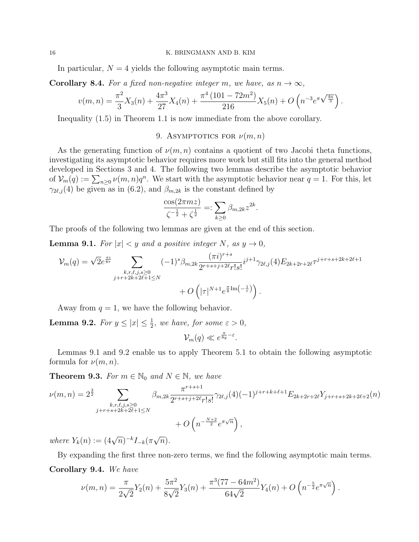#### 16 K. BRINGMANN AND B. KIM

In particular,  $N = 4$  yields the following asymptotic main terms.

**Corollary 8.4.** For a fixed non-negative integer m, we have, as  $n \to \infty$ ,

$$
v(m,n) = \frac{\pi^2}{3}X_3(n) + \frac{4\pi^3}{27}X_4(n) + \frac{\pi^4 (101 - 72m^2)}{216}X_5(n) + O\left(n^{-3}e^{\pi\sqrt{\frac{4n}{3}}}\right).
$$

Inequality (1.5) in Theorem 1.1 is now immediate from the above corollary.

9. ASYMPTOTICS FOR  $\nu(m, n)$ 

As the generating function of  $\nu(m, n)$  contains a quotient of two Jacobi theta functions, investigating its asymptotic behavior requires more work but still fits into the general method developed in Sections 3 and 4. The following two lemmas describe the asymptotic behavior of  $\mathcal{V}_m(q) := \sum_{n\geq 0} \nu(m,n)q^n$ . We start with the asymptotic behavior near  $q = 1$ . For this, let  $\gamma_{2\ell,j}(4)$  be given as in (6.2), and  $\beta_{m,2k}$  is the constant defined by

$$
\frac{\cos(2\pi mz)}{\zeta^{-\frac{1}{2}} + \zeta^{\frac{1}{2}}} =: \sum_{k \ge 0} \beta_{m,2k} z^{2k}.
$$

The proofs of the following two lemmas are given at the end of this section.

**Lemma 9.1.** For  $|x| < y$  and a positive integer N, as  $y \to 0$ ,

$$
\mathcal{V}_{m}(q) = \sqrt{2}e^{\frac{\pi i}{8\tau}} \sum_{\substack{k,r,\ell,j,s \geq 0 \\ j+r+2k+2\ell+1 \leq N}} (-1)^{s} \beta_{m,2k} \frac{(\pi i)^{r+s}}{2^{r+s+j+2\ell}r!s!} i^{j+1} \gamma_{2\ell,j}(4) E_{2k+2r+2\ell} \tau^{j+r+s+2k+2\ell+1} + O\left(|\tau|^{N+1} e^{\frac{\pi}{8}\text{Im}\left(-\frac{1}{\tau}\right)}\right).
$$

Away from  $q = 1$ , we have the following behavior.

**Lemma 9.2.** For  $y \leq |x| \leq \frac{1}{2}$ , we have, for some  $\varepsilon > 0$ ,

 $\mathcal{V}_m(q) \ll e^{\frac{\pi}{8y}-\varepsilon}.$ 

Lemmas 9.1 and 9.2 enable us to apply Theorem 5.1 to obtain the following asymptotic formula for  $\nu(m, n)$ .

**Theorem 9.3.** For  $m \in \mathbb{N}_0$  and  $N \in \mathbb{N}$ , we have

$$
\nu(m,n) = 2^{\frac{3}{2}} \sum_{\substack{k,r,\ell,j,s \geq 0 \\ j+r+s+2k+2\ell+1 \leq N}} \beta_{m,2k} \frac{\pi^{r+s+1}}{2^{r+s+j+2\ell}r!s!} \gamma_{2\ell,j}(4)(-1)^{j+r+k+\ell+1} E_{2k+2r+2\ell} Y_{j+r+s+2k+2\ell+2}(n) + O\left(n^{-\frac{N+2}{2}} e^{\pi \sqrt{n}}\right),
$$

where  $Y_k(n) := (4\sqrt{n})^{-k} I_{-k}(\pi)$ √  $\overline{n}).$ 

By expanding the first three non-zero terms, we find the following asymptotic main terms.

# Corollary 9.4. We have

$$
\nu(m,n) = \frac{\pi}{2\sqrt{2}} Y_2(n) + \frac{5\pi^2}{8\sqrt{2}} Y_3(n) + \frac{\pi^3 (77 - 64m^2)}{64\sqrt{2}} Y_4(n) + O\left(n^{-\frac{5}{2}} e^{\pi\sqrt{n}}\right).
$$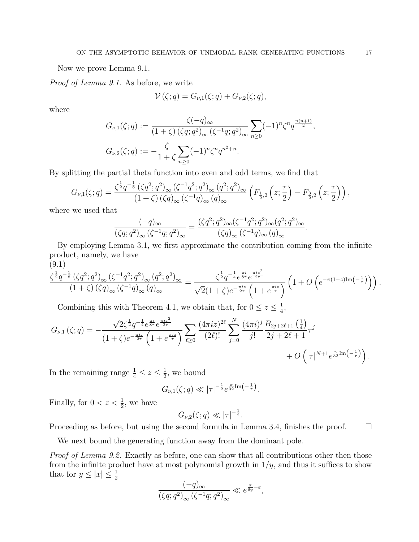Now we prove Lemma 9.1.

Proof of Lemma 9.1. As before, we write

$$
\mathcal{V}(\zeta;q) = G_{\nu,1}(\zeta;q) + G_{\nu,2}(\zeta;q),
$$

where

$$
G_{\nu,1}(\zeta;q) := \frac{\zeta(-q)_{\infty}}{(1+\zeta)(\zeta q;q^2)_{\infty}} \sum_{n\geq 0} (-1)^n \zeta^n q^{\frac{n(n+1)}{2}},
$$
  

$$
G_{\nu,2}(\zeta;q) := -\frac{\zeta}{1+\zeta} \sum_{n\geq 0} (-1)^n \zeta^n q^{n^2+n}.
$$

By splitting the partial theta function into even and odd terms, we find that

$$
G_{\nu,1}(\zeta;q) = \frac{\zeta^{\frac{1}{2}}q^{-\frac{1}{8}}\left(\zeta q^2;q^2\right)_{\infty}\left(\zeta^{-1}q^2;q^2\right)_{\infty}\left(q^2;q^2\right)_{\infty}}{(1+\zeta)\left(\zeta q\right)_{\infty}\left(\zeta^{-1}q\right)_{\infty}\left(q\right)_{\infty}}\left(F_{\frac{1}{2},2}\left(z;\frac{\tau}{2}\right)-F_{\frac{3}{2},2}\left(z;\frac{\tau}{2}\right)\right),
$$

where we used that

$$
\frac{(-q)_{\infty}}{(\zeta q;q^2)_{\infty}(\zeta^{-1}q;q^2)_{\infty}} = \frac{(\zeta q^2;q^2)_{\infty}(\zeta^{-1}q^2;q^2)_{\infty}(q^2;q^2)_{\infty}}{(\zeta q)_{\infty}(\zeta^{-1}q)_{\infty}(q)_{\infty}}
$$

By employing Lemma 3.1, we first approximate the contribution coming from the infinite product, namely, we have

(9.1)

$$
\frac{\zeta^{\frac{1}{2}}q^{-\frac{1}{8}}\left(\zeta q^{2};q^{2}\right)_{\infty}\left(\zeta^{-1}q^{2};q^{2}\right)_{\infty}\left(q^{2};q^{2}\right)_{\infty}}{(1+\zeta)\left(\zeta q\right)_{\infty}\left(\zeta^{-1}q\right)_{\infty}\left(q\right)_{\infty}}=\frac{\zeta^{\frac{1}{2}}q^{-\frac{1}{4}}e^{\frac{\pi i}{8\tau}}e^{\frac{\pi i z^{2}}{2\tau}}}{\sqrt{2}(1+\zeta)e^{-\frac{\pi i z}{2\tau}}\left(1+e^{\frac{\pi i z}{\tau}}\right)}\left(1+O\left(e^{-\pi(1-z)\text{Im}\left(-\frac{1}{\tau}\right)}\right)\right).
$$

Combining this with Theorem 4.1, we obtain that, for  $0 \leq z \leq \frac{1}{4}$  $\frac{1}{4}$ ,

$$
G_{\nu,1}(\zeta;q) = -\frac{\sqrt{2}\zeta^{\frac{1}{2}}q^{-\frac{1}{4}}e^{\frac{\pi i z}{8\tau}}e^{\frac{\pi i z^2}{2\tau}}}{(1+\zeta)e^{-\frac{\pi i z}{2\tau}}\left(1+e^{\frac{\pi i z}{\tau}}\right)} \sum_{\ell\geq 0} \frac{(4\pi i z)^{2\ell}}{(2\ell)!} \sum_{j=0}^N \frac{(4\pi i)^j}{j!} \frac{B_{2j+2\ell+1}\left(\frac{1}{4}\right)}{2j+2\ell+1} \tau^j + O\left(|\tau|^{N+1}e^{\frac{\pi}{32}\text{Im}\left(-\frac{1}{\tau}\right)}\right).
$$

In the remaining range  $\frac{1}{4} \leq z \leq \frac{1}{2}$  $\frac{1}{2}$ , we bound

$$
G_{\nu,1}(\zeta;q) \ll |\tau|^{-\frac{1}{2}} e^{\frac{\pi}{32} \text{Im}\left(-\frac{1}{\tau}\right)}.
$$

Finally, for  $0 < z < \frac{1}{2}$ , we have

$$
G_{\nu,2}(\zeta;q)\ll |\tau|^{-\frac{1}{2}}.
$$

Proceeding as before, but using the second formula in Lemma 3.4, finishes the proof.  $\square$ 

We next bound the generating function away from the dominant pole.

Proof of Lemma 9.2. Exactly as before, one can show that all contributions other then those from the infinite product have at most polynomial growth in  $1/y$ , and thus it suffices to show that for  $y \leq |x| \leq \frac{1}{2}$ 

$$
\frac{(-q)_{\infty}}{\left(\zeta q;q^2\right)_{\infty}\left(\zeta^{-1}q;q^2\right)_{\infty}} \ll e^{\frac{\pi}{8y}-\varepsilon},
$$

.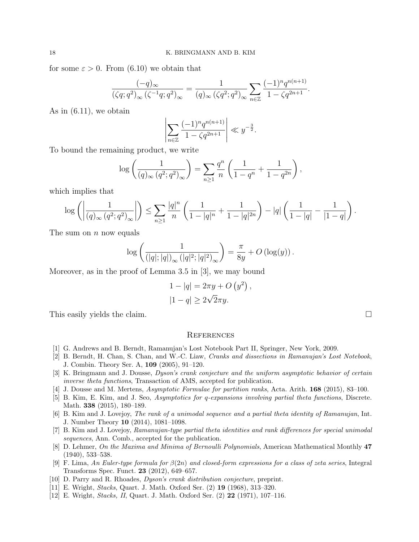for some  $\varepsilon > 0$ . From (6.10) we obtain that

$$
\frac{(-q)_{\infty}}{(\zeta q;q^2)_{\infty}(\zeta^{-1}q;q^2)_{\infty}} = \frac{1}{(q)_{\infty}(\zeta q^2;q^2)_{\infty}} \sum_{n \in \mathbb{Z}} \frac{(-1)^n q^{n(n+1)}}{1 - \zeta q^{2n+1}}.
$$

As in (6.11), we obtain

$$
\left| \sum_{n \in \mathbb{Z}} \frac{(-1)^n q^{n(n+1)}}{1 - \zeta q^{2n+1}} \right| \ll y^{-\frac{3}{2}}.
$$

To bound the remaining product, we write

$$
\log \left( \frac{1}{(q)_{\infty} (q^2; q^2)_{\infty}} \right) = \sum_{n \ge 1} \frac{q^n}{n} \left( \frac{1}{1 - q^n} + \frac{1}{1 - q^{2n}} \right),
$$

which implies that

$$
\log \left( \left| \frac{1}{(q)_{\infty} (q^2; q^2)_{\infty}} \right| \right) \leq \sum_{n \geq 1} \frac{|q|^n}{n} \left( \frac{1}{1 - |q|^n} + \frac{1}{1 - |q|^{2n}} \right) - |q| \left( \frac{1}{1 - |q|} - \frac{1}{|1 - q|} \right).
$$

The sum on  $n$  now equals

$$
\log\left(\frac{1}{(\vert q \vert; \vert q \vert)_\infty \left(\vert q \vert^2; \vert q \vert^2 \right)_\infty}\right) = \frac{\pi}{8y} + O\left(\log(y)\right).
$$

Moreover, as in the proof of Lemma 3.5 in [3], we may bound

$$
1 - |q| = 2\pi y + O(y^2)
$$

$$
|1 - q| \ge 2\sqrt{2\pi y}.
$$

This easily yields the claim.

,

### **REFERENCES**

- [1] G. Andrews and B. Berndt, Ramanujan's Lost Notebook Part II, Springer, New York, 2009.
- [2] B. Berndt, H. Chan, S. Chan, and W.-C. Liaw, Cranks and dissections in Ramanujan's Lost Notebook, J. Combin. Theory Ser. A, 109 (2005), 91–120.
- [3] K. Bringmann and J. Dousse, Dyson's crank conjecture and the uniform asymptotic behavior of certain inverse theta functions, Transaction of AMS, accepted for publication.
- [4] J. Dousse and M. Mertens, Asymptotic Formulae for partition ranks, Acta. Arith. 168 (2015), 83–100.
- [5] B. Kim, E. Kim, and J. Seo, Asymptotics for q-expansions involving partial theta functions, Discrete. Math. 338 (2015), 180–189.
- [6] B. Kim and J. Lovejoy, The rank of a unimodal sequence and a partial theta identity of Ramanujan, Int. J. Number Theory 10 (2014), 1081–1098.
- [7] B. Kim and J. Lovejoy, Ramanujan-type partial theta identities and rank differences for special unimodal sequences, Ann. Comb., accepted for the publication.
- [8] D. Lehmer, On the Maxima and Minima of Bernoulli Polynomials, American Mathematical Monthly 47 (1940), 533–538.
- [9] F. Lima, An Euler-type formula for  $\beta(2n)$  and closed-form expressions for a class of zeta series, Integral Transforms Spec. Funct. 23 (2012), 649–657.
- [10] D. Parry and R. Rhoades, Dyson's crank distribution conjecture, preprint.
- [11] E. Wright, Stacks, Quart. J. Math. Oxford Ser. (2) 19 (1968), 313–320.
- [12] E. Wright, Stacks, II, Quart. J. Math. Oxford Ser. (2) 22 (1971), 107–116.